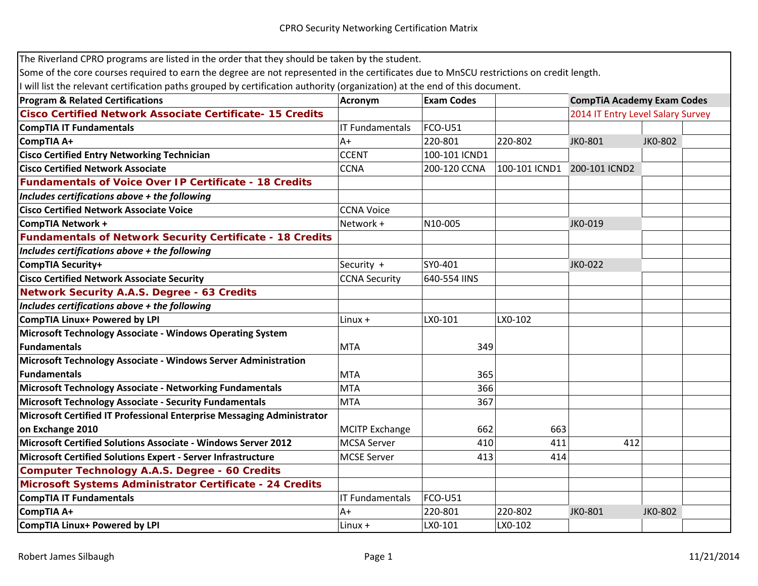| The Riverland CPRO programs are listed in the order that they should be taken by the student.                                            |                        |                   |               |                                   |         |
|------------------------------------------------------------------------------------------------------------------------------------------|------------------------|-------------------|---------------|-----------------------------------|---------|
| Some of the core courses required to earn the degree are not represented in the certificates due to MnSCU restrictions on credit length. |                        |                   |               |                                   |         |
| I will list the relevant certification paths grouped by certification authority (organization) at the end of this document.              |                        |                   |               |                                   |         |
| <b>Program &amp; Related Certifications</b>                                                                                              | Acronym                | <b>Exam Codes</b> |               | <b>CompTiA Academy Exam Codes</b> |         |
| <b>Cisco Certified Network Associate Certificate-15 Credits</b>                                                                          |                        |                   |               | 2014 IT Entry Level Salary Survey |         |
| <b>CompTIA IT Fundamentals</b>                                                                                                           | <b>IT Fundamentals</b> | <b>FCO-U51</b>    |               |                                   |         |
| CompTIA A+                                                                                                                               | $A+$                   | 220-801           | 220-802       | JK0-801                           | JK0-802 |
| <b>Cisco Certified Entry Networking Technician</b>                                                                                       | <b>CCENT</b>           | 100-101 ICND1     |               |                                   |         |
| <b>Cisco Certified Network Associate</b>                                                                                                 | <b>CCNA</b>            | 200-120 CCNA      | 100-101 ICND1 | 200-101 ICND2                     |         |
| <b>Fundamentals of Voice Over IP Certificate - 18 Credits</b>                                                                            |                        |                   |               |                                   |         |
| Includes certifications above + the following                                                                                            |                        |                   |               |                                   |         |
| <b>Cisco Certified Network Associate Voice</b>                                                                                           | <b>CCNA Voice</b>      |                   |               |                                   |         |
| <b>CompTIA Network +</b>                                                                                                                 | Network +              | N10-005           |               | JK0-019                           |         |
| <b>Fundamentals of Network Security Certificate - 18 Credits</b>                                                                         |                        |                   |               |                                   |         |
| Includes certifications above + the following                                                                                            |                        |                   |               |                                   |         |
| CompTIA Security+                                                                                                                        | Security +             | SY0-401           |               | JK0-022                           |         |
| <b>Cisco Certified Network Associate Security</b>                                                                                        | <b>CCNA Security</b>   | 640-554 IINS      |               |                                   |         |
| <b>Network Security A.A.S. Degree - 63 Credits</b>                                                                                       |                        |                   |               |                                   |         |
| Includes certifications above + the following                                                                                            |                        |                   |               |                                   |         |
| <b>CompTIA Linux+ Powered by LPI</b>                                                                                                     | $Linux +$              | LX0-101           | LX0-102       |                                   |         |
| <b>Microsoft Technology Associate - Windows Operating System</b>                                                                         |                        |                   |               |                                   |         |
| <b>Fundamentals</b>                                                                                                                      | <b>MTA</b>             | 349               |               |                                   |         |
| Microsoft Technology Associate - Windows Server Administration                                                                           |                        |                   |               |                                   |         |
| <b>Fundamentals</b>                                                                                                                      | <b>MTA</b>             | 365               |               |                                   |         |
| <b>Microsoft Technology Associate - Networking Fundamentals</b>                                                                          | <b>MTA</b>             | 366               |               |                                   |         |
| <b>Microsoft Technology Associate - Security Fundamentals</b>                                                                            | <b>MTA</b>             | 367               |               |                                   |         |
| Microsoft Certified IT Professional Enterprise Messaging Administrator                                                                   |                        |                   |               |                                   |         |
| on Exchange 2010                                                                                                                         | <b>MCITP Exchange</b>  | 662               | 663           |                                   |         |
| <b>Microsoft Certified Solutions Associate - Windows Server 2012</b>                                                                     | <b>MCSA Server</b>     | 410               | 411           | 412                               |         |
| Microsoft Certified Solutions Expert - Server Infrastructure                                                                             | <b>MCSE Server</b>     | 413               | 414           |                                   |         |
| <b>Computer Technology A.A.S. Degree - 60 Credits</b>                                                                                    |                        |                   |               |                                   |         |
| Microsoft Systems Administrator Certificate - 24 Credits                                                                                 |                        |                   |               |                                   |         |
| <b>CompTIA IT Fundamentals</b>                                                                                                           | <b>IT Fundamentals</b> | <b>FCO-U51</b>    |               |                                   |         |
| CompTIA A+                                                                                                                               | $A+$                   | 220-801           | 220-802       | JK0-801                           | JK0-802 |
| <b>CompTIA Linux+ Powered by LPI</b>                                                                                                     | $Linux +$              | LX0-101           | LX0-102       |                                   |         |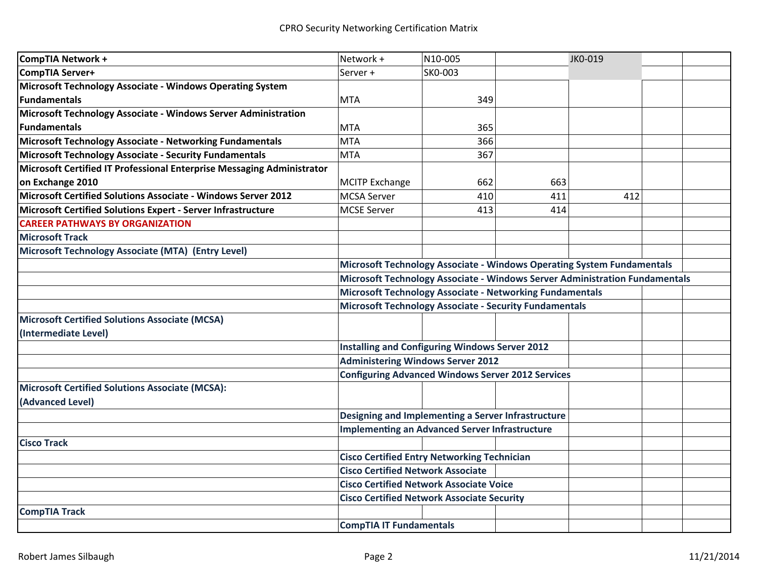| CompTIA Network +                                                      | Network +                                                                   | N10-005 |     | JK0-019 |  |  |
|------------------------------------------------------------------------|-----------------------------------------------------------------------------|---------|-----|---------|--|--|
| CompTIA Server+                                                        | Server +                                                                    | SK0-003 |     |         |  |  |
| Microsoft Technology Associate - Windows Operating System              |                                                                             |         |     |         |  |  |
| <b>Fundamentals</b>                                                    | <b>MTA</b>                                                                  | 349     |     |         |  |  |
| Microsoft Technology Associate - Windows Server Administration         |                                                                             |         |     |         |  |  |
| <b>IFundamentals</b>                                                   | <b>MTA</b>                                                                  | 365     |     |         |  |  |
| Microsoft Technology Associate - Networking Fundamentals               | <b>MTA</b>                                                                  | 366     |     |         |  |  |
| Microsoft Technology Associate - Security Fundamentals                 | <b>MTA</b>                                                                  | 367     |     |         |  |  |
| Microsoft Certified IT Professional Enterprise Messaging Administrator |                                                                             |         |     |         |  |  |
| on Exchange 2010                                                       | <b>MCITP Exchange</b>                                                       | 662     | 663 |         |  |  |
| Microsoft Certified Solutions Associate - Windows Server 2012          | <b>MCSA Server</b>                                                          | 410     | 411 | 412     |  |  |
| Microsoft Certified Solutions Expert - Server Infrastructure           | <b>MCSE Server</b>                                                          | 413     | 414 |         |  |  |
| <b>CAREER PATHWAYS BY ORGANIZATION</b>                                 |                                                                             |         |     |         |  |  |
| <b>Microsoft Track</b>                                                 |                                                                             |         |     |         |  |  |
| Microsoft Technology Associate (MTA) (Entry Level)                     |                                                                             |         |     |         |  |  |
|                                                                        | Microsoft Technology Associate - Windows Operating System Fundamentals      |         |     |         |  |  |
|                                                                        | Microsoft Technology Associate - Windows Server Administration Fundamentals |         |     |         |  |  |
|                                                                        | <b>Microsoft Technology Associate - Networking Fundamentals</b>             |         |     |         |  |  |
|                                                                        | <b>Microsoft Technology Associate - Security Fundamentals</b>               |         |     |         |  |  |
| Microsoft Certified Solutions Associate (MCSA)                         |                                                                             |         |     |         |  |  |
| (Intermediate Level)                                                   |                                                                             |         |     |         |  |  |
|                                                                        | <b>Installing and Configuring Windows Server 2012</b>                       |         |     |         |  |  |
|                                                                        | <b>Administering Windows Server 2012</b>                                    |         |     |         |  |  |
|                                                                        | <b>Configuring Advanced Windows Server 2012 Services</b>                    |         |     |         |  |  |
| Microsoft Certified Solutions Associate (MCSA):                        |                                                                             |         |     |         |  |  |
| (Advanced Level)                                                       |                                                                             |         |     |         |  |  |
|                                                                        | Designing and Implementing a Server Infrastructure                          |         |     |         |  |  |
|                                                                        | <b>Implementing an Advanced Server Infrastructure</b>                       |         |     |         |  |  |
| <b>Cisco Track</b>                                                     |                                                                             |         |     |         |  |  |
|                                                                        | <b>Cisco Certified Entry Networking Technician</b>                          |         |     |         |  |  |
|                                                                        | <b>Cisco Certified Network Associate</b>                                    |         |     |         |  |  |
|                                                                        | <b>Cisco Certified Network Associate Voice</b>                              |         |     |         |  |  |
|                                                                        | <b>Cisco Certified Network Associate Security</b>                           |         |     |         |  |  |
| <b>CompTIA Track</b>                                                   |                                                                             |         |     |         |  |  |
|                                                                        | <b>CompTIA IT Fundamentals</b>                                              |         |     |         |  |  |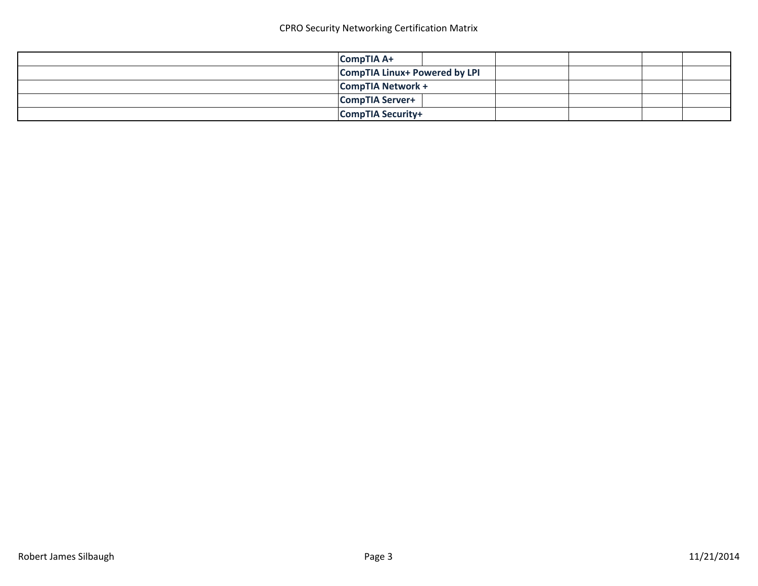| <b>CompTIA A+</b>                    |  |  |
|--------------------------------------|--|--|
| <b>CompTIA Linux+ Powered by LPI</b> |  |  |
| <b>CompTIA Network +</b>             |  |  |
| <b>CompTIA Server+</b>               |  |  |
| <b>CompTIA Security+</b>             |  |  |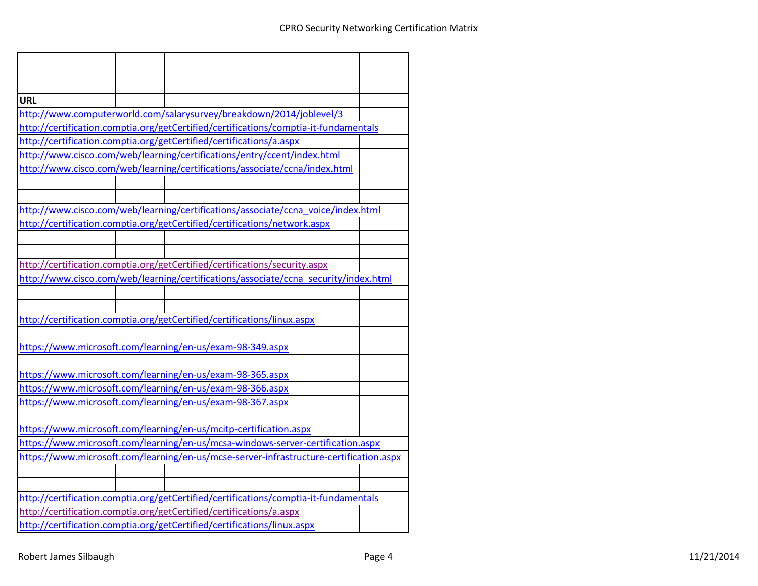| <b>URL</b> |  |                                                                                        |  |  |
|------------|--|----------------------------------------------------------------------------------------|--|--|
|            |  | http://www.computerworld.com/salarysurvey/breakdown/2014/joblevel/3                    |  |  |
|            |  | http://certification.comptia.org/getCertified/certifications/comptia-it-fundamentals   |  |  |
|            |  | http://certification.comptia.org/getCertified/certifications/a.aspx                    |  |  |
|            |  | http://www.cisco.com/web/learning/certifications/entry/ccent/index.html                |  |  |
|            |  | http://www.cisco.com/web/learning/certifications/associate/ccna/index.html             |  |  |
|            |  |                                                                                        |  |  |
|            |  |                                                                                        |  |  |
|            |  | http://www.cisco.com/web/learning/certifications/associate/ccna_voice/index.html       |  |  |
|            |  | http://certification.comptia.org/getCertified/certifications/network.aspx              |  |  |
|            |  |                                                                                        |  |  |
|            |  |                                                                                        |  |  |
|            |  | http://certification.comptia.org/getCertified/certifications/security.aspx             |  |  |
|            |  | http://www.cisco.com/web/learning/certifications/associate/ccna security/index.html    |  |  |
|            |  |                                                                                        |  |  |
|            |  |                                                                                        |  |  |
|            |  | http://certification.comptia.org/getCertified/certifications/linux.aspx                |  |  |
|            |  |                                                                                        |  |  |
|            |  | https://www.microsoft.com/learning/en-us/exam-98-349.aspx                              |  |  |
|            |  |                                                                                        |  |  |
|            |  | https://www.microsoft.com/learning/en-us/exam-98-365.aspx                              |  |  |
|            |  | https://www.microsoft.com/learning/en-us/exam-98-366.aspx                              |  |  |
|            |  | https://www.microsoft.com/learning/en-us/exam-98-367.aspx                              |  |  |
|            |  |                                                                                        |  |  |
|            |  | https://www.microsoft.com/learning/en-us/mcitp-certification.aspx                      |  |  |
|            |  | https://www.microsoft.com/learning/en-us/mcsa-windows-server-certification.aspx        |  |  |
|            |  | https://www.microsoft.com/learning/en-us/mcse-server-infrastructure-certification.aspx |  |  |
|            |  |                                                                                        |  |  |
|            |  |                                                                                        |  |  |
|            |  | http://certification.comptia.org/getCertified/certifications/comptia-it-fundamentals   |  |  |
|            |  | http://certification.comptia.org/getCertified/certifications/a.aspx                    |  |  |
|            |  |                                                                                        |  |  |
|            |  | http://certification.comptia.org/getCertified/certifications/linux.aspx                |  |  |